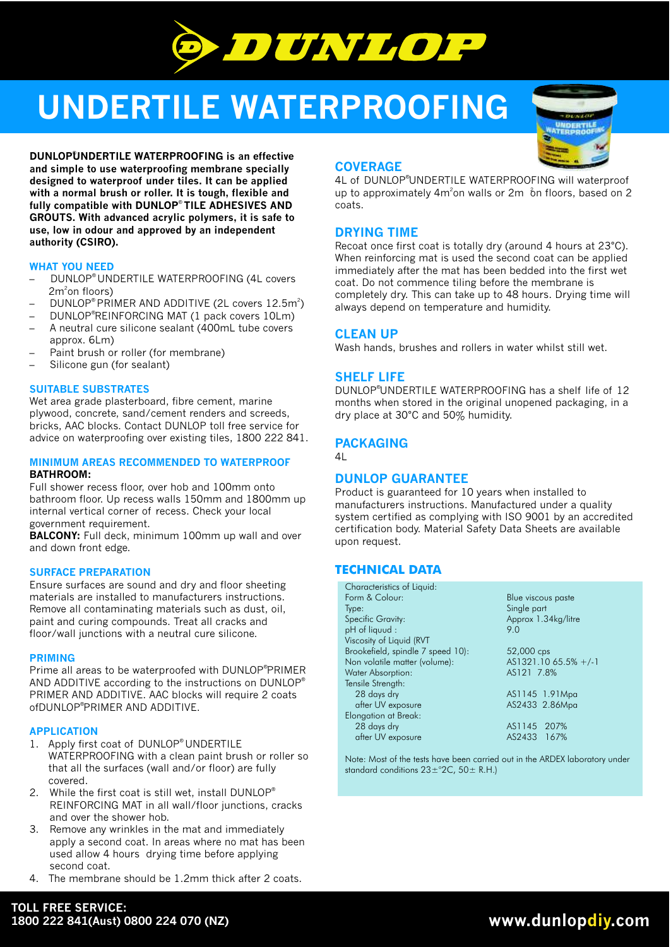

# **UNDERTILE WATERPROOFING**

® **DUNLOPUNDERTILE WATERPROOFING is an effective and simple to use waterproofing membrane specially designed to waterproof under tiles. It can be applied with a normal brush or roller. It is tough, flexible and**  fully compatible with DUNLOP<sup>®</sup> TILE ADHESIVES AND **GROUTS. With advanced acrylic polymers, it is safe to use, low in odour and approved by an independent authority (CSIRO).**

# **WHAT YOU NEED**

- DUNLOP® UNDERTILE WATERPROOFING (4L covers  $2m^2$ on floors)
- $\,$  DUNLOP® PRIMER AND ADDITIVE (2L covers  $12.5\mathrm{m}^2)$
- DUNLOP®REINFORCING MAT (1 pack covers 10Lm) – A neutral cure silicone sealant (400mL tube covers
- approx. 6Lm)
- Paint brush or roller (for membrane)
- Silicone gun (for sealant)

#### **SUITABLE SUBSTRATES**

Wet area grade plasterboard, fibre cement, marine plywood, concrete, sand/cement renders and screeds, bricks, AAC blocks. Contact DUNLOP toll free service for advice on waterproofing over existing tiles, 1800 222 841.

#### **BATHROOM: MINIMUM AREAS RECOMMENDED TO WATERPROOF**

Full shower recess floor, over hob and 100mm onto bathroom floor. Up recess walls 150mm and 1800mm up internal vertical corner of recess. Check your local government requirement.

**BALCONY:** Full deck, minimum 100mm up wall and over and down front edge.

#### **SURFACE PREPARATION**

Ensure surfaces are sound and dry and floor sheeting materials are installed to manufacturers instructions. Remove all contaminating materials such as dust, oil, paint and curing compounds. Treat all cracks and floor/wall junctions with a neutral cure silicone.

#### **PRIMING**

Prime all areas to be waterproofed with DUNLOP®PRIMER AND ADDITIVE according to the instructions on DUNLOP® PRIMER AND ADDITIVE. AAC blocks will require 2 coats ofDUNLOP®PRIMER AND ADDITIVE.

#### **APPLICATION**

- 1. Apply first coat of DUNLOP® UNDERTILE WATERPROOFING with a clean paint brush or roller so that all the surfaces (wall and/or floor) are fully covered.
- 2. While the first coat is still wet, install DUNLOP® REINFORCING MAT in all wall/floor junctions, cracks and over the shower hob.
- 3. Remove any wrinkles in the mat and immediately apply a second coat. In areas where no mat has been used allow 4 hours drying time before applying second coat.
- 4. The membrane should be 1.2mm thick after 2 coats.



# **COVERAGE**

4L of DUNLOP<sup>®</sup>UNDERTILE WATERPROOFING will waterproof up to approximately  $4m^2$ on walls or  $2m$  on floors, based on  $2m$ coats.

# **DRYING TIME**

Recoat once first coat is totally dry (around 4 hours at 23°C). When reinforcing mat is used the second coat can be applied immediately after the mat has been bedded into the first wet coat. Do not commence tiling before the membrane is completely dry. This can take up to 48 hours. Drying time will always depend on temperature and humidity.

#### **CLEAN UP**

Wash hands, brushes and rollers in water whilst still wet.

# **SHELF LIFE**

DUNLOP<sup>®</sup>UNDERTILE WATERPROOFING has a shelf life of 12 months when stored in the original unopened packaging, in a dry place at 30°C and 50% humidity.

# **PACKAGING**

4L

# **DUNLOP GUARANTEE**

Product is guaranteed for 10 years when installed to manufacturers instructions. Manufactured under a quality system certified as complying with ISO 9001 by an accredited certification body. Material Safety Data Sheets are available upon request.

# **TECHNICAL DATA**

| Blue viscous paste    |
|-----------------------|
| Single part           |
| Approx 1.34kg/litre   |
| 9.0                   |
|                       |
| 52,000 cps            |
| $AS1321.1065.5% +/-1$ |
| AS121 7.8%            |
|                       |
| AS1145 1.91Mpa        |
| AS2433 2.86Mpg        |
|                       |
| AS1145 207%           |
| AS2433 167%           |
|                       |

**Note:** Most of the tests have been carried out in the ARDEX laboratory under standard conditions 23±°2C, 50± R.H.)